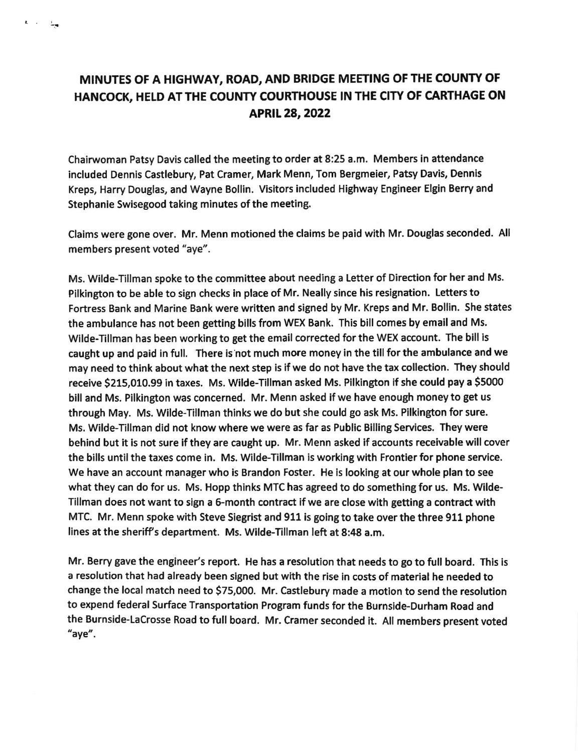## MINUTES OF A HIGHWAY, ROAD, AND BRIDGE MEETING OF THE COUNTY OF HANCOCK, HELD AT THE COUNTY COURTHOUSE IN THE CITY OF CARTHAGE ON APRIL28,2022

 $\mathbf{L} = \mathbf{L} = -\frac{1}{2} \mathbf{g}$ 

Chainrvoman Patsy Davis called the meeting to order at 8:25 a,m. Members in attendance included Dennis Castlebury, Pat Cramer, Mark Menn, Tom Bergmeier, Patsy Davis, Dennis Kreps, Harry Douglas, and Wayne Bollin. Visitors included Highway Engineer Elgin Berry and Stephanie Swisegood taking minutes of the meeting.

Claims were gone over, Mr. Menn motioned the claims be paid with Mr. Douglas seconded. All members present voted "aye".

Ms. Wilde-Tillman spoke to the committee about needing a Letter of Direction for her and Ms. Pilkington to be able to sign checks in place of Mr. Neally since his resignation. Letters to Fortress Bank and Marine Bank were written and signed by Mr. Kreps and Mr. Bollin. She states the ambulance has not been getting bills from WEx Bank. This bill comes by email and Ms. Wilde-Tillman has been working to get the email corrected for the WEX account. The bill is caught up and paid in full. There is not much more money in the till for the ambulance and we may need to think about what the next step is if we do not have the tax collection. They should receive 5215,010.99 in taxes. Ms. Wilde-fillman asked Ms. Pilklngton lf she could pay a 5so0o bill and Ms. Pilkington was concerned. Mr. Menn asked if we have enough money to get us through May. Ms. Wilde-Tillman thinks we do but she could go ask Ms. Pilkington for sure. Ms. Wilde-Tillman did not know where we were as far as Public Billing Services. They were behind but it is not sure if they are caught up. Mr. Menn asked lf accounts receivable will cover the bills until the taxes come in. Ms. Wilde-Tillman is working with Frontier for phone service. We have an account manager who is Brandon Foster. He is looking at our whole plan to see what they can do for us. Ms. Hopp thinks MTC has agreed to do something for us. Ms. Wilde-Tillman does not want to sign a 6-month contract lf we are close with getting a contract with MTC. Mr. Menn spoke with Steve Siegrist and 911 is going to take over the three 911 phone lines at the sheriff's department. Ms. Wilde-Tillman left at 8:48 a.m.

Mr. Berry gave the engineer's report. He has a resolution that needs to go to full board. This is a resolution that had already been signed but with the rise in costs of material he needed to change the local match need to \$75,000. Mr. Castlebury made a motion to send the resolution to expend federal Surface Transportation Program funds for the Burnside-Durham Road and the Burnside-LaCrosse Road to full board. Mr. Cramer seconded it. All members present voted "aye".